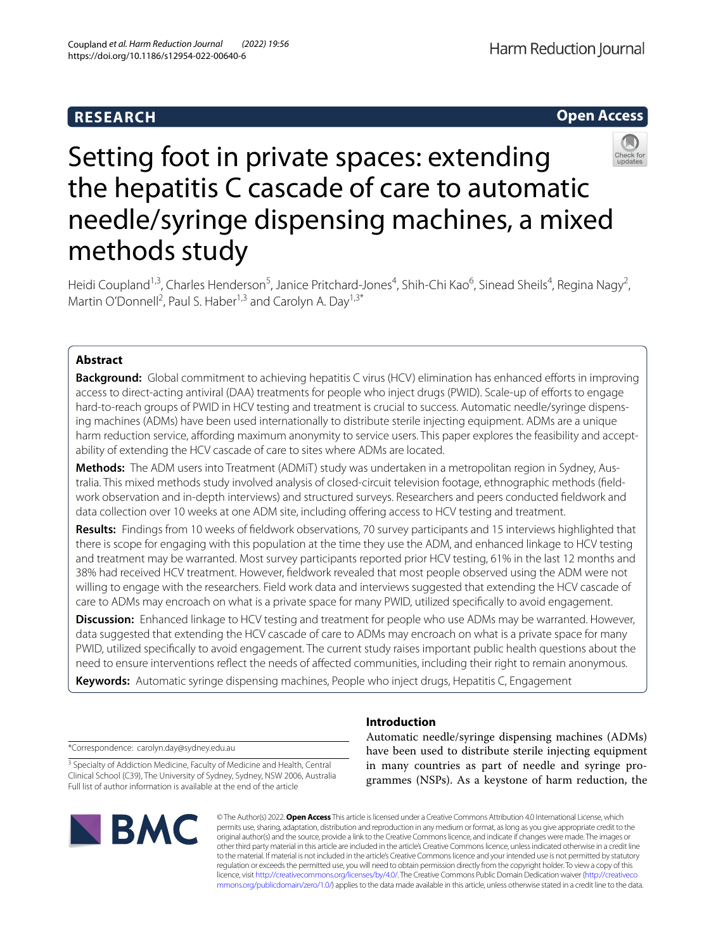# **RESEARCH**

Harm Reduction Journal

# **Open Access**



# Setting foot in private spaces: extending the hepatitis C cascade of care to automatic needle/syringe dispensing machines, a mixed methods study

Heidi Coupland<sup>1,3</sup>, Charles Henderson<sup>5</sup>, Janice Pritchard-Jones<sup>4</sup>, Shih-Chi Kao<sup>6</sup>, Sinead Sheils<sup>4</sup>, Regina Nagy<sup>2</sup>, Martin O'Donnell<sup>2</sup>, Paul S. Haber<sup>1,3</sup> and Carolyn A. Day<sup>1,3\*</sup>

# **Abstract**

**Background:** Global commitment to achieving hepatitis C virus (HCV) elimination has enhanced efforts in improving access to direct-acting antiviral (DAA) treatments for people who inject drugs (PWID). Scale-up of efforts to engage hard-to-reach groups of PWID in HCV testing and treatment is crucial to success. Automatic needle/syringe dispensing machines (ADMs) have been used internationally to distribute sterile injecting equipment. ADMs are a unique harm reduction service, affording maximum anonymity to service users. This paper explores the feasibility and acceptability of extending the HCV cascade of care to sites where ADMs are located.

**Methods:** The ADM users into Treatment (ADMIT) study was undertaken in a metropolitan region in Sydney, Australia. This mixed methods study involved analysis of closed-circuit television footage, ethnographic methods (feld‑ work observation and in-depth interviews) and structured surveys. Researchers and peers conducted feldwork and data collection over 10 weeks at one ADM site, including offering access to HCV testing and treatment.

**Results:** Findings from 10 weeks of feldwork observations, 70 survey participants and 15 interviews highlighted that there is scope for engaging with this population at the time they use the ADM, and enhanced linkage to HCV testing and treatment may be warranted. Most survey participants reported prior HCV testing, 61% in the last 12 months and 38% had received HCV treatment. However, feldwork revealed that most people observed using the ADM were not willing to engage with the researchers. Field work data and interviews suggested that extending the HCV cascade of care to ADMs may encroach on what is a private space for many PWID, utilized specifcally to avoid engagement.

**Discussion:** Enhanced linkage to HCV testing and treatment for people who use ADMs may be warranted. However, data suggested that extending the HCV cascade of care to ADMs may encroach on what is a private space for many PWID, utilized specifcally to avoid engagement. The current study raises important public health questions about the need to ensure interventions refect the needs of afected communities, including their right to remain anonymous.

**Keywords:** Automatic syringe dispensing machines, People who inject drugs, Hepatitis C, Engagement

**Introduction**

\*Correspondence: carolyn.day@sydney.edu.au

<sup>3</sup> Specialty of Addiction Medicine, Faculty of Medicine and Health, Central Clinical School (C39), The University of Sydney, Sydney, NSW 2006, Australia Full list of author information is available at the end of the article



Automatic needle/syringe dispensing machines (ADMs) have been used to distribute sterile injecting equipment in many countries as part of needle and syringe programmes (NSPs). As a keystone of harm reduction, the

© The Author(s) 2022. **Open Access** This article is licensed under a Creative Commons Attribution 4.0 International License, which permits use, sharing, adaptation, distribution and reproduction in any medium or format, as long as you give appropriate credit to the original author(s) and the source, provide a link to the Creative Commons licence, and indicate if changes were made. The images or other third party material in this article are included in the article's Creative Commons licence, unless indicated otherwise in a credit line to the material. If material is not included in the article's Creative Commons licence and your intended use is not permitted by statutory regulation or exceeds the permitted use, you will need to obtain permission directly from the copyright holder. To view a copy of this licence, visit [http://creativecommons.org/licenses/by/4.0/.](http://creativecommons.org/licenses/by/4.0/) The Creative Commons Public Domain Dedication waiver ([http://creativeco](http://creativecommons.org/publicdomain/zero/1.0/) [mmons.org/publicdomain/zero/1.0/](http://creativecommons.org/publicdomain/zero/1.0/)) applies to the data made available in this article, unless otherwise stated in a credit line to the data.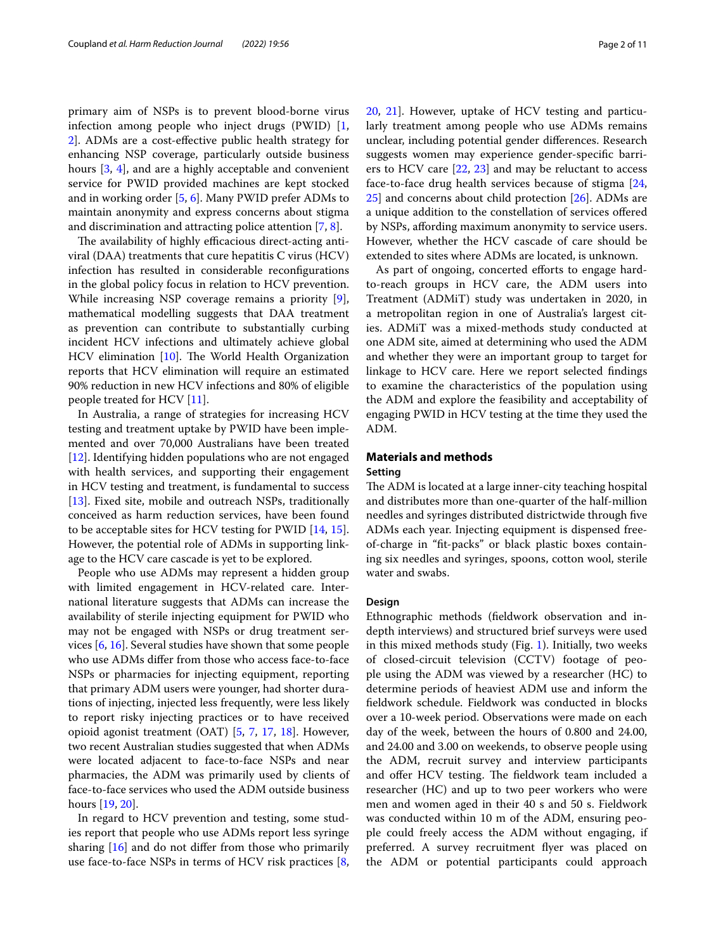primary aim of NSPs is to prevent blood-borne virus infection among people who inject drugs (PWID) [\[1](#page-9-0), [2\]](#page-9-1). ADMs are a cost-efective public health strategy for enhancing NSP coverage, particularly outside business hours [[3](#page-9-2), [4\]](#page-10-0), and are a highly acceptable and convenient service for PWID provided machines are kept stocked and in working order [[5,](#page-10-1) [6](#page-10-2)]. Many PWID prefer ADMs to maintain anonymity and express concerns about stigma and discrimination and attracting police attention [\[7](#page-10-3), [8\]](#page-10-4).

The availability of highly efficacious direct-acting antiviral (DAA) treatments that cure hepatitis C virus (HCV) infection has resulted in considerable reconfgurations in the global policy focus in relation to HCV prevention. While increasing NSP coverage remains a priority [\[9](#page-10-5)], mathematical modelling suggests that DAA treatment as prevention can contribute to substantially curbing incident HCV infections and ultimately achieve global HCV elimination  $[10]$ . The World Health Organization reports that HCV elimination will require an estimated 90% reduction in new HCV infections and 80% of eligible people treated for HCV [[11\]](#page-10-7).

In Australia, a range of strategies for increasing HCV testing and treatment uptake by PWID have been implemented and over 70,000 Australians have been treated [[12\]](#page-10-8). Identifying hidden populations who are not engaged with health services, and supporting their engagement in HCV testing and treatment, is fundamental to success [[13\]](#page-10-9). Fixed site, mobile and outreach NSPs, traditionally conceived as harm reduction services, have been found to be acceptable sites for HCV testing for PWID [[14](#page-10-10), [15](#page-10-11)]. However, the potential role of ADMs in supporting linkage to the HCV care cascade is yet to be explored.

People who use ADMs may represent a hidden group with limited engagement in HCV-related care. International literature suggests that ADMs can increase the availability of sterile injecting equipment for PWID who may not be engaged with NSPs or drug treatment services [[6,](#page-10-2) [16](#page-10-12)]. Several studies have shown that some people who use ADMs difer from those who access face-to-face NSPs or pharmacies for injecting equipment, reporting that primary ADM users were younger, had shorter durations of injecting, injected less frequently, were less likely to report risky injecting practices or to have received opioid agonist treatment (OAT) [[5,](#page-10-1) [7](#page-10-3), [17,](#page-10-13) [18](#page-10-14)]. However, two recent Australian studies suggested that when ADMs were located adjacent to face-to-face NSPs and near pharmacies, the ADM was primarily used by clients of face-to-face services who used the ADM outside business hours [[19](#page-10-15), [20\]](#page-10-16).

In regard to HCV prevention and testing, some studies report that people who use ADMs report less syringe sharing [\[16](#page-10-12)] and do not difer from those who primarily use face-to-face NSPs in terms of HCV risk practices [\[8](#page-10-4), [20,](#page-10-16) [21](#page-10-17)]. However, uptake of HCV testing and particularly treatment among people who use ADMs remains unclear, including potential gender diferences. Research suggests women may experience gender-specifc barriers to HCV care [\[22](#page-10-18), [23](#page-10-19)] and may be reluctant to access face-to-face drug health services because of stigma [[24](#page-10-20), [25\]](#page-10-21) and concerns about child protection [[26](#page-10-22)]. ADMs are a unique addition to the constellation of services ofered by NSPs, afording maximum anonymity to service users. However, whether the HCV cascade of care should be extended to sites where ADMs are located, is unknown.

As part of ongoing, concerted efforts to engage hardto-reach groups in HCV care, the ADM users into Treatment (ADMiT) study was undertaken in 2020, in a metropolitan region in one of Australia's largest cities. ADMiT was a mixed-methods study conducted at one ADM site, aimed at determining who used the ADM and whether they were an important group to target for linkage to HCV care. Here we report selected fndings to examine the characteristics of the population using the ADM and explore the feasibility and acceptability of engaging PWID in HCV testing at the time they used the ADM.

# **Materials and methods**

# **Setting**

The ADM is located at a large inner-city teaching hospital and distributes more than one-quarter of the half-million needles and syringes distributed districtwide through fve ADMs each year. Injecting equipment is dispensed freeof-charge in "ft-packs" or black plastic boxes containing six needles and syringes, spoons, cotton wool, sterile water and swabs.

#### **Design**

Ethnographic methods (feldwork observation and indepth interviews) and structured brief surveys were used in this mixed methods study (Fig. [1](#page-2-0)). Initially, two weeks of closed-circuit television (CCTV) footage of people using the ADM was viewed by a researcher (HC) to determine periods of heaviest ADM use and inform the feldwork schedule. Fieldwork was conducted in blocks over a 10-week period. Observations were made on each day of the week, between the hours of 0.800 and 24.00, and 24.00 and 3.00 on weekends, to observe people using the ADM, recruit survey and interview participants and offer HCV testing. The fieldwork team included a researcher (HC) and up to two peer workers who were men and women aged in their 40 s and 50 s. Fieldwork was conducted within 10 m of the ADM, ensuring people could freely access the ADM without engaging, if preferred. A survey recruitment fyer was placed on the ADM or potential participants could approach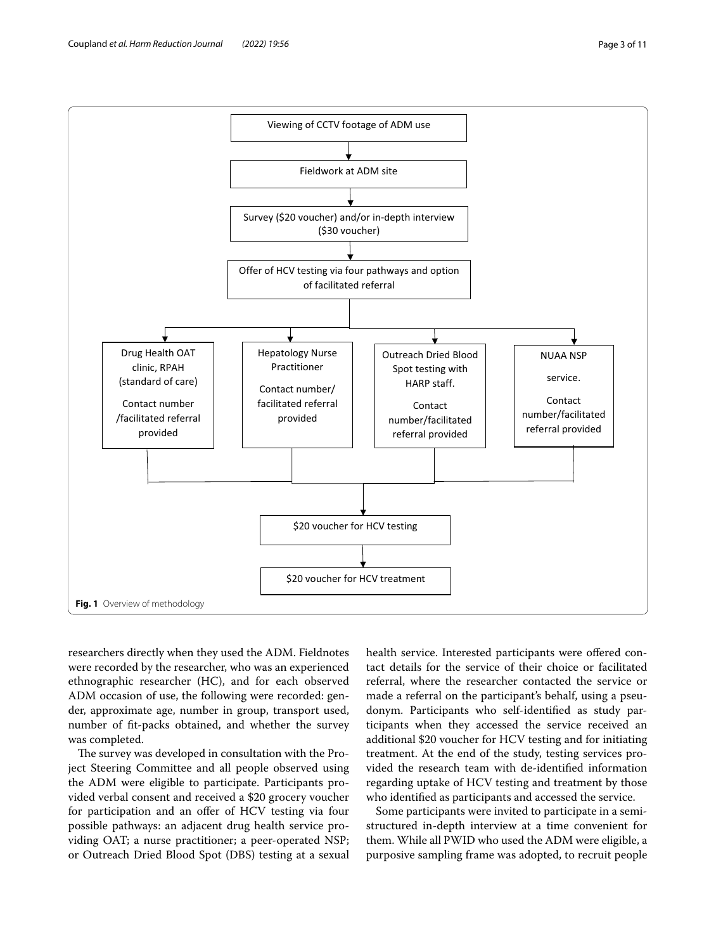<span id="page-2-0"></span>researchers directly when they used the ADM. Fieldnotes were recorded by the researcher, who was an experienced ethnographic researcher (HC), and for each observed

ADM occasion of use, the following were recorded: gender, approximate age, number in group, transport used, number of ft-packs obtained, and whether the survey was completed.

The survey was developed in consultation with the Project Steering Committee and all people observed using the ADM were eligible to participate. Participants provided verbal consent and received a \$20 grocery voucher for participation and an offer of HCV testing via four possible pathways: an adjacent drug health service providing OAT; a nurse practitioner; a peer-operated NSP; or Outreach Dried Blood Spot (DBS) testing at a sexual health service. Interested participants were offered contact details for the service of their choice or facilitated referral, where the researcher contacted the service or made a referral on the participant's behalf, using a pseudonym. Participants who self-identifed as study participants when they accessed the service received an additional \$20 voucher for HCV testing and for initiating treatment. At the end of the study, testing services provided the research team with de-identifed information regarding uptake of HCV testing and treatment by those who identifed as participants and accessed the service.

Some participants were invited to participate in a semistructured in-depth interview at a time convenient for them. While all PWID who used the ADM were eligible, a purposive sampling frame was adopted, to recruit people

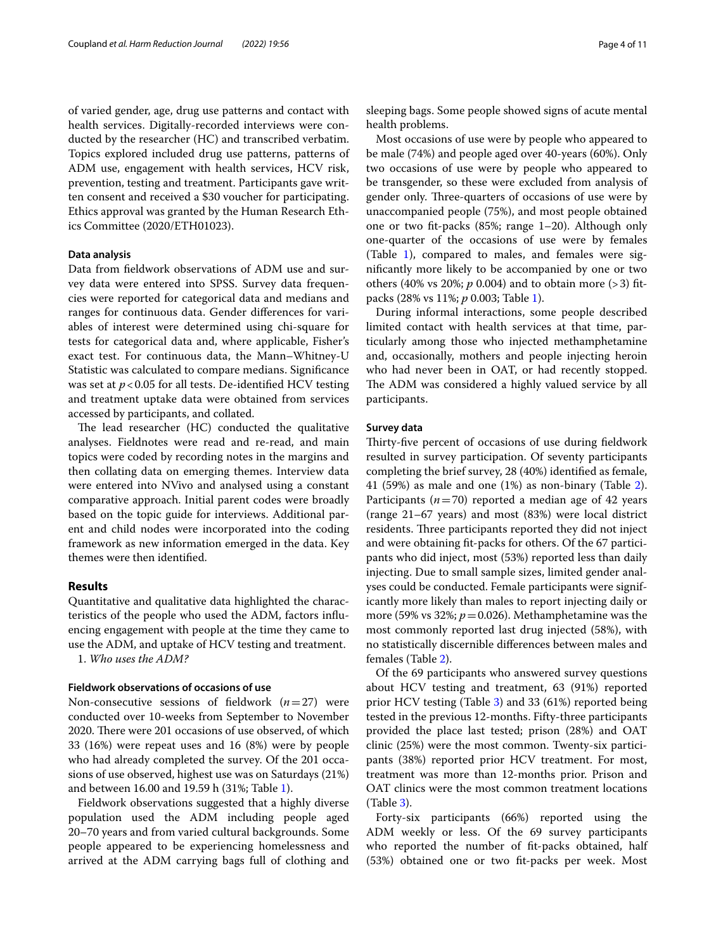of varied gender, age, drug use patterns and contact with health services. Digitally-recorded interviews were conducted by the researcher (HC) and transcribed verbatim. Topics explored included drug use patterns, patterns of ADM use, engagement with health services, HCV risk, prevention, testing and treatment. Participants gave written consent and received a \$30 voucher for participating. Ethics approval was granted by the Human Research Ethics Committee (2020/ETH01023).

#### **Data analysis**

Data from feldwork observations of ADM use and survey data were entered into SPSS. Survey data frequencies were reported for categorical data and medians and ranges for continuous data. Gender diferences for variables of interest were determined using chi-square for tests for categorical data and, where applicable, Fisher's exact test. For continuous data, the Mann–Whitney-U Statistic was calculated to compare medians. Signifcance was set at  $p < 0.05$  for all tests. De-identified HCV testing and treatment uptake data were obtained from services accessed by participants, and collated.

The lead researcher (HC) conducted the qualitative analyses. Fieldnotes were read and re-read, and main topics were coded by recording notes in the margins and then collating data on emerging themes. Interview data were entered into NVivo and analysed using a constant comparative approach. Initial parent codes were broadly based on the topic guide for interviews. Additional parent and child nodes were incorporated into the coding framework as new information emerged in the data. Key themes were then identifed.

#### **Results**

Quantitative and qualitative data highlighted the characteristics of the people who used the ADM, factors infuencing engagement with people at the time they came to use the ADM, and uptake of HCV testing and treatment.

1. *Who uses the ADM?*

## **Fieldwork observations of occasions of use**

Non-consecutive sessions of feldwork (*n*=27) were conducted over 10-weeks from September to November 2020. There were 201 occasions of use observed, of which 33 (16%) were repeat uses and 16 (8%) were by people who had already completed the survey. Of the 201 occasions of use observed, highest use was on Saturdays (21%) and between 16.00 and 19.59 h (31%; Table [1](#page-4-0)).

Fieldwork observations suggested that a highly diverse population used the ADM including people aged 20–70 years and from varied cultural backgrounds. Some people appeared to be experiencing homelessness and arrived at the ADM carrying bags full of clothing and sleeping bags. Some people showed signs of acute mental health problems.

Most occasions of use were by people who appeared to be male (74%) and people aged over 40-years (60%). Only two occasions of use were by people who appeared to be transgender, so these were excluded from analysis of gender only. Three-quarters of occasions of use were by unaccompanied people (75%), and most people obtained one or two ft-packs (85%; range 1–20). Although only one-quarter of the occasions of use were by females (Table [1](#page-4-0)), compared to males, and females were signifcantly more likely to be accompanied by one or two others (40% vs 20%;  $p$  0.004) and to obtain more (> 3) fitpacks (28% vs 11%; *p* 0.003; Table [1\)](#page-4-0).

During informal interactions, some people described limited contact with health services at that time, particularly among those who injected methamphetamine and, occasionally, mothers and people injecting heroin who had never been in OAT, or had recently stopped. The ADM was considered a highly valued service by all participants.

## **Survey data**

Thirty-five percent of occasions of use during fieldwork resulted in survey participation. Of seventy participants completing the brief survey, 28 (40%) identifed as female, 41 (59%) as male and one (1%) as non-binary (Table [2](#page-5-0)). Participants  $(n=70)$  reported a median age of 42 years (range 21–67 years) and most (83%) were local district residents. Three participants reported they did not inject and were obtaining ft-packs for others. Of the 67 participants who did inject, most (53%) reported less than daily injecting. Due to small sample sizes, limited gender analyses could be conducted. Female participants were significantly more likely than males to report injecting daily or more (59% vs 32%;  $p = 0.026$ ). Methamphetamine was the most commonly reported last drug injected (58%), with no statistically discernible diferences between males and females (Table [2\)](#page-5-0).

Of the 69 participants who answered survey questions about HCV testing and treatment, 63 (91%) reported prior HCV testing (Table [3\)](#page-6-0) and 33 (61%) reported being tested in the previous 12-months. Fifty-three participants provided the place last tested; prison (28%) and OAT clinic (25%) were the most common. Twenty-six participants (38%) reported prior HCV treatment. For most, treatment was more than 12-months prior. Prison and OAT clinics were the most common treatment locations (Table [3\)](#page-6-0).

Forty-six participants (66%) reported using the ADM weekly or less. Of the 69 survey participants who reported the number of ft-packs obtained, half (53%) obtained one or two ft-packs per week. Most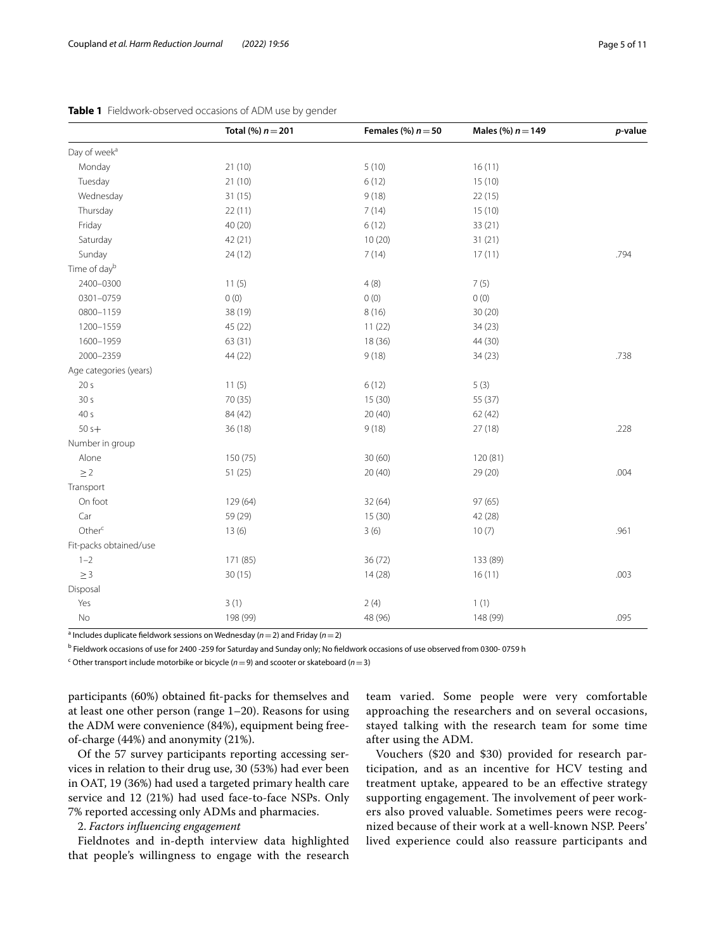|                          | Total (%) $n = 201$ | Females (%) $n = 50$ | Males (%) $n = 149$ | $p$ -value |
|--------------------------|---------------------|----------------------|---------------------|------------|
| Day of week <sup>a</sup> |                     |                      |                     |            |
| Monday                   | 21(10)              | 5(10)                | 16(11)              |            |
| Tuesday                  | 21(10)              | 6(12)                | 15(10)              |            |
| Wednesday                | 31 (15)             | 9(18)                | 22(15)              |            |
| Thursday                 | 22(11)              | 7(14)                | 15(10)              |            |
| Friday                   | 40 (20)             | 6(12)                | 33(21)              |            |
| Saturday                 | 42(21)              | 10(20)               | 31(21)              |            |
| Sunday                   | 24(12)              | 7(14)                | 17(11)              | .794       |
| Time of dayb             |                     |                      |                     |            |
| 2400-0300                | 11(5)               | 4(8)                 | 7(5)                |            |
| 0301-0759                | 0(0)                | 0(0)                 | 0(0)                |            |
| 0800-1159                | 38 (19)             | 8(16)                | 30 (20)             |            |
| 1200-1559                | 45 (22)             | 11(22)               | 34(23)              |            |
| 1600-1959                | 63(31)              | 18 (36)              | 44 (30)             |            |
| 2000-2359                | 44 (22)             | 9(18)                | 34(23)              | .738       |
| Age categories (years)   |                     |                      |                     |            |
| 20 <sub>s</sub>          | 11(5)               | 6(12)                | 5(3)                |            |
| 30 <sub>s</sub>          | 70 (35)             | 15 (30)              | 55 (37)             |            |
| 40 s                     | 84 (42)             | 20(40)               | 62 (42)             |            |
| $50s+$                   | 36 (18)             | 9(18)                | 27 (18)             | .228       |
| Number in group          |                     |                      |                     |            |
| Alone                    | 150 (75)            | 30(60)               | 120 (81)            |            |
| $\geq$ 2                 | 51 (25)             | 20(40)               | 29 (20)             | .004       |
| Transport                |                     |                      |                     |            |
| On foot                  | 129 (64)            | 32 (64)              | 97 (65)             |            |
| Car                      | 59 (29)             | 15 (30)              | 42 (28)             |            |
| Other <sup>c</sup>       | 13(6)               | 3(6)                 | 10(7)               | .961       |
| Fit-packs obtained/use   |                     |                      |                     |            |
| $1 - 2$                  | 171 (85)            | 36 (72)              | 133 (89)            |            |
| $\geq 3$                 | 30 (15)             | 14(28)               | 16(11)              | .003       |
| Disposal                 |                     |                      |                     |            |
| Yes                      | 3(1)                | 2(4)                 | 1(1)                |            |
| No                       | 198 (99)            | 48 (96)              | 148 (99)            | .095       |

<span id="page-4-0"></span>

|  | Table 1 Fieldwork-observed occasions of ADM use by gender |  |  |
|--|-----------------------------------------------------------|--|--|
|--|-----------------------------------------------------------|--|--|

a Includes duplicate feldwork sessions on Wednesday (*n*=2) and Friday (*n*=2)

<sup>b</sup> Fieldwork occasions of use for 2400 -259 for Saturday and Sunday only; No fieldwork occasions of use observed from 0300- 0759 h

c Other transport include motorbike or bicycle (*n*=9) and scooter or skateboard (*n*=3)

participants (60%) obtained ft-packs for themselves and at least one other person (range 1–20). Reasons for using the ADM were convenience (84%), equipment being freeof-charge (44%) and anonymity (21%).

Of the 57 survey participants reporting accessing services in relation to their drug use, 30 (53%) had ever been in OAT, 19 (36%) had used a targeted primary health care service and 12 (21%) had used face-to-face NSPs. Only 7% reported accessing only ADMs and pharmacies.

#### 2. *Factors infuencing engagement*

Fieldnotes and in-depth interview data highlighted that people's willingness to engage with the research

team varied. Some people were very comfortable approaching the researchers and on several occasions, stayed talking with the research team for some time after using the ADM.

Vouchers (\$20 and \$30) provided for research participation, and as an incentive for HCV testing and treatment uptake, appeared to be an efective strategy supporting engagement. The involvement of peer workers also proved valuable. Sometimes peers were recognized because of their work at a well-known NSP. Peers' lived experience could also reassure participants and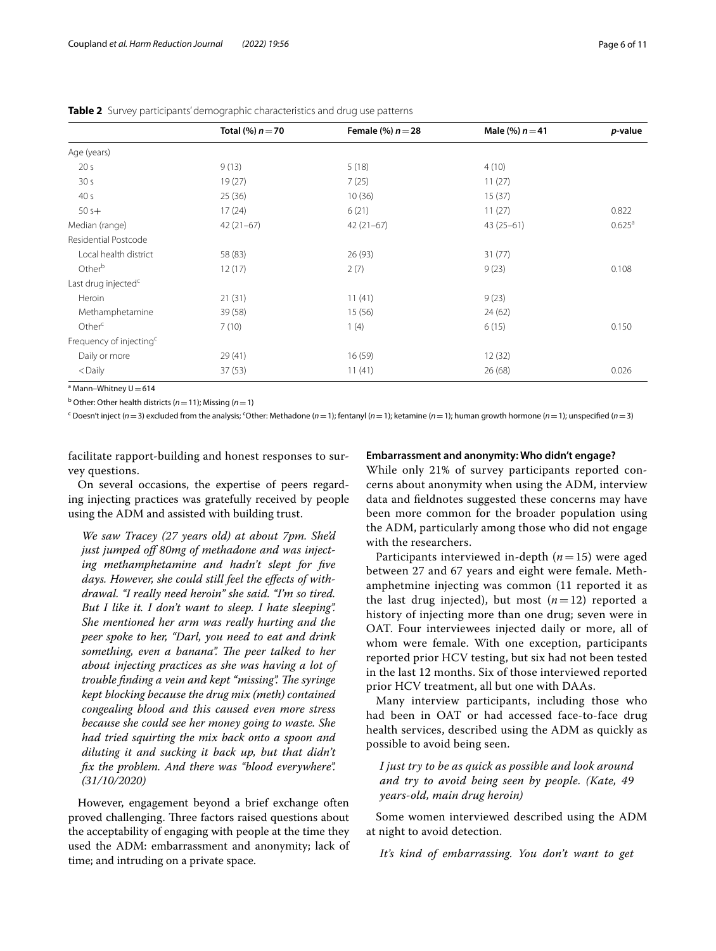|                                     | Total $% n = 70$ | Female $(\%) n = 28$ | Male (%) $n = 41$ | <i>p</i> -value    |
|-------------------------------------|------------------|----------------------|-------------------|--------------------|
| Age (years)                         |                  |                      |                   |                    |
| 20 <sub>s</sub>                     | 9(13)            | 5(18)                | 4(10)             |                    |
| 30 <sub>s</sub>                     | 19(27)           | 7(25)                | 11(27)            |                    |
| 40 <sub>s</sub>                     | 25(36)           | 10(36)               | 15(37)            |                    |
| $50s+$                              | 17(24)           | 6(21)                | 11(27)            | 0.822              |
| Median (range)                      | $42(21-67)$      | $42(21-67)$          | $43(25-61)$       | 0.625 <sup>a</sup> |
| Residential Postcode                |                  |                      |                   |                    |
| Local health district               | 58 (83)          | 26 (93)              | 31(77)            |                    |
| Other <sup>b</sup>                  | 12(17)           | 2(7)                 | 9(23)             | 0.108              |
| Last drug injected <sup>c</sup>     |                  |                      |                   |                    |
| Heroin                              | 21(31)           | 11(41)               | 9(23)             |                    |
| Methamphetamine                     | 39(58)           | 15(56)               | 24(62)            |                    |
| Other <sup>c</sup>                  | 7(10)            | 1(4)                 | 6(15)             | 0.150              |
| Frequency of injecting <sup>c</sup> |                  |                      |                   |                    |
| Daily or more                       | 29(41)           | 16(59)               | 12(32)            |                    |
| $<$ Daily                           | 37(53)           | 11(41)               | 26(68)            | 0.026              |

<span id="page-5-0"></span>**Table 2** Survey participants' demographic characteristics and drug use patterns

 $^{\circ}$  Mann–Whitney U $=$  614

b Other: Other health districts (*n*=11); Missing (*n*=1)

<sup>c</sup> Doesn't inject (*n* = 3) excluded from the analysis; <sup>c</sup>Other: Methadone (*n* = 1); fentanyl (*n* = 1); ketamine (*n* = 1); human growth hormone (*n* = 1); unspecified (*n* = 3)

facilitate rapport-building and honest responses to survey questions.

On several occasions, the expertise of peers regarding injecting practices was gratefully received by people using the ADM and assisted with building trust.

*We saw Tracey (27 years old) at about 7pm. She'd just jumped of 80mg of methadone and was injecting methamphetamine and hadn't slept for fve days. However, she could still feel the efects of withdrawal. "I really need heroin" she said. "I'm so tired. But I like it. I don't want to sleep. I hate sleeping". She mentioned her arm was really hurting and the peer spoke to her, "Darl, you need to eat and drink*  something, even a banana". The peer talked to her *about injecting practices as she was having a lot of trouble finding a vein and kept "missing". The syringe kept blocking because the drug mix (meth) contained congealing blood and this caused even more stress because she could see her money going to waste. She had tried squirting the mix back onto a spoon and diluting it and sucking it back up, but that didn't fx the problem. And there was "blood everywhere". (31/10/2020)*

However, engagement beyond a brief exchange often proved challenging. Three factors raised questions about the acceptability of engaging with people at the time they used the ADM: embarrassment and anonymity; lack of time; and intruding on a private space.

## **Embarrassment and anonymity: Who didn't engage?**

While only 21% of survey participants reported concerns about anonymity when using the ADM, interview data and feldnotes suggested these concerns may have been more common for the broader population using the ADM, particularly among those who did not engage with the researchers.

Participants interviewed in-depth (*n*=15) were aged between 27 and 67 years and eight were female. Methamphetmine injecting was common (11 reported it as the last drug injected), but most  $(n=12)$  reported a history of injecting more than one drug; seven were in OAT. Four interviewees injected daily or more, all of whom were female. With one exception, participants reported prior HCV testing, but six had not been tested in the last 12 months. Six of those interviewed reported prior HCV treatment, all but one with DAAs.

Many interview participants, including those who had been in OAT or had accessed face-to-face drug health services, described using the ADM as quickly as possible to avoid being seen.

*I just try to be as quick as possible and look around and try to avoid being seen by people. (Kate, 49 years-old, main drug heroin)*

Some women interviewed described using the ADM at night to avoid detection.

*It's kind of embarrassing. You don't want to get*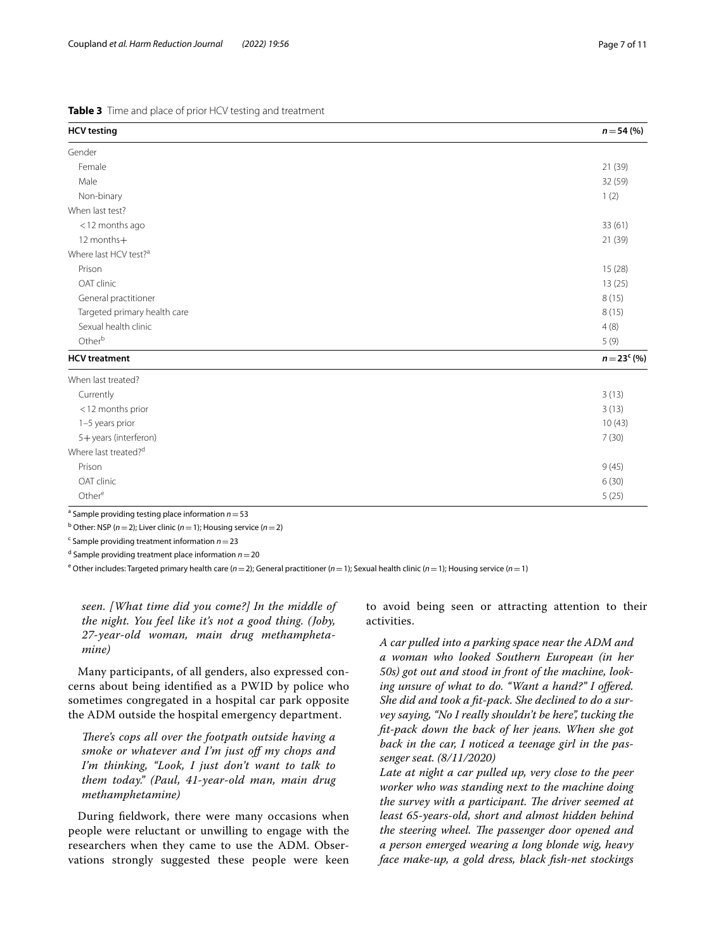<span id="page-6-0"></span>

|  |  | Table 3 Time and place of prior HCV testing and treatment |
|--|--|-----------------------------------------------------------|
|  |  |                                                           |

| <b>HCV</b> testing                | $n = 54 (%)$   |
|-----------------------------------|----------------|
| Gender                            |                |
| Female                            | 21(39)         |
| Male                              | 32 (59)        |
| Non-binary                        | 1(2)           |
| When last test?                   |                |
| <12 months ago                    | 33(61)         |
| 12 months+                        | 21 (39)        |
| Where last HCV test? <sup>a</sup> |                |
| Prison                            | 15(28)         |
| OAT clinic                        | 13(25)         |
| General practitioner              | 8(15)          |
| Targeted primary health care      | 8(15)          |
| Sexual health clinic              | 4(8)           |
| Otherb                            | 5(9)           |
| <b>HCV</b> treatment              | $n = 23^c (%)$ |
| When last treated?                |                |
| Currently                         | 3(13)          |
| <12 months prior                  | 3(13)          |
| 1-5 years prior                   | 10(43)         |
| 5+years (interferon)              | 7(30)          |
| Where last treated? <sup>d</sup>  |                |
| Prison                            | 9(45)          |
| OAT clinic                        | 6(30)          |
| Other <sup>e</sup>                | 5(25)          |

a Sample providing testing place information *n*=53 b Other: NSP (*n*=2); Liver clinic (*n*=1); Housing service (*n*=2)

c Sample providing treatment information *n*=23

d Sample providing treatment place information *n*=20

e Other includes: Targeted primary health care (*n*=2); General practitioner (*n*=1); Sexual health clinic (*n*=1); Housing service (*n*=1)

*seen. [What time did you come?] In the middle of the night. You feel like it's not a good thing. (Joby, 27-year-old woman, main drug methamphetamine)*

Many participants, of all genders, also expressed concerns about being identifed as a PWID by police who sometimes congregated in a hospital car park opposite the ADM outside the hospital emergency department.

*There's cops all over the footpath outside having a smoke or whatever and I'm just of my chops and I'm thinking, "Look, I just don't want to talk to them today." (Paul, 41-year-old man, main drug methamphetamine)*

During feldwork, there were many occasions when people were reluctant or unwilling to engage with the researchers when they came to use the ADM. Observations strongly suggested these people were keen to avoid being seen or attracting attention to their activities.

*A car pulled into a parking space near the ADM and a woman who looked Southern European (in her 50s) got out and stood in front of the machine, looking unsure of what to do. "Want a hand?" I ofered. She did and took a ft-pack. She declined to do a survey saying, "No I really shouldn't be here", tucking the ft-pack down the back of her jeans. When she got back in the car, I noticed a teenage girl in the passenger seat. (8/11/2020)*

*Late at night a car pulled up, very close to the peer worker who was standing next to the machine doing the survey with a participant. The driver seemed at least 65-years-old, short and almost hidden behind*  the steering wheel. The passenger door opened and *a person emerged wearing a long blonde wig, heavy face make-up, a gold dress, black fsh-net stockings*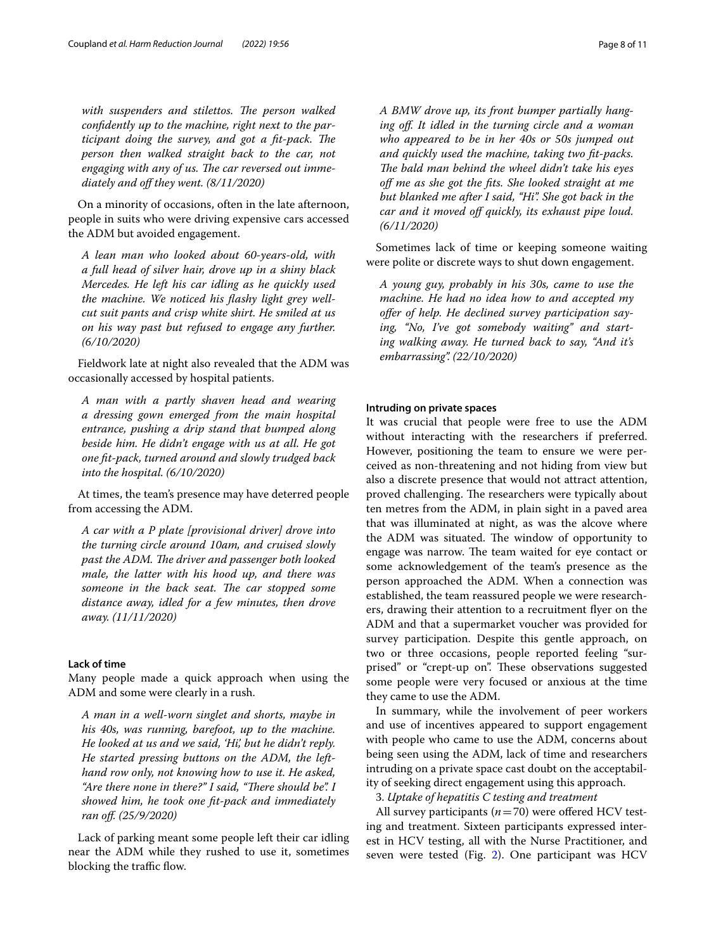with suspenders and stilettos. The person walked *confdently up to the machine, right next to the participant doing the survey, and got a fit-pack. The person then walked straight back to the car, not*  engaging with any of us. The car reversed out imme*diately and of they went. (8/11/2020)*

On a minority of occasions, often in the late afternoon, people in suits who were driving expensive cars accessed the ADM but avoided engagement.

*A lean man who looked about 60-years-old, with a full head of silver hair, drove up in a shiny black Mercedes. He left his car idling as he quickly used the machine. We noticed his fashy light grey wellcut suit pants and crisp white shirt. He smiled at us on his way past but refused to engage any further. (6/10/2020)*

Fieldwork late at night also revealed that the ADM was occasionally accessed by hospital patients.

*A man with a partly shaven head and wearing a dressing gown emerged from the main hospital entrance, pushing a drip stand that bumped along beside him. He didn't engage with us at all. He got one ft-pack, turned around and slowly trudged back into the hospital. (6/10/2020)*

At times, the team's presence may have deterred people from accessing the ADM.

*A car with a P plate [provisional driver] drove into the turning circle around 10am, and cruised slowly past the ADM. The driver and passenger both looked male, the latter with his hood up, and there was*  someone in the back seat. The car stopped some *distance away, idled for a few minutes, then drove away. (11/11/2020)*

## **Lack of time**

Many people made a quick approach when using the ADM and some were clearly in a rush.

*A man in a well-worn singlet and shorts, maybe in his 40s, was running, barefoot, up to the machine. He looked at us and we said, 'Hi', but he didn't reply. He started pressing buttons on the ADM, the lefthand row only, not knowing how to use it. He asked,*  "Are there none in there?" I said, "There should be". I *showed him, he took one ft-pack and immediately ran of. (25/9/2020)*

Lack of parking meant some people left their car idling near the ADM while they rushed to use it, sometimes blocking the traffic flow.

*A BMW drove up, its front bumper partially hanging of. It idled in the turning circle and a woman who appeared to be in her 40s or 50s jumped out and quickly used the machine, taking two ft-packs.*  The bald man behind the wheel didn't take his eyes *of me as she got the fts. She looked straight at me but blanked me after I said, "Hi". She got back in the car and it moved off quickly, its exhaust pipe loud. (6/11/2020)*

Sometimes lack of time or keeping someone waiting were polite or discrete ways to shut down engagement.

*A young guy, probably in his 30s, came to use the machine. He had no idea how to and accepted my ofer of help. He declined survey participation saying, "No, I've got somebody waiting" and starting walking away. He turned back to say, "And it's embarrassing". (22/10/2020)*

## **Intruding on private spaces**

It was crucial that people were free to use the ADM without interacting with the researchers if preferred. However, positioning the team to ensure we were perceived as non-threatening and not hiding from view but also a discrete presence that would not attract attention, proved challenging. The researchers were typically about ten metres from the ADM, in plain sight in a paved area that was illuminated at night, as was the alcove where the ADM was situated. The window of opportunity to engage was narrow. The team waited for eye contact or some acknowledgement of the team's presence as the person approached the ADM. When a connection was established, the team reassured people we were researchers, drawing their attention to a recruitment fyer on the ADM and that a supermarket voucher was provided for survey participation. Despite this gentle approach, on two or three occasions, people reported feeling "surprised" or "crept-up on". These observations suggested some people were very focused or anxious at the time they came to use the ADM.

In summary, while the involvement of peer workers and use of incentives appeared to support engagement with people who came to use the ADM, concerns about being seen using the ADM, lack of time and researchers intruding on a private space cast doubt on the acceptability of seeking direct engagement using this approach.

3. *Uptake of hepatitis C testing and treatment*

All survey participants  $(n=70)$  were offered HCV testing and treatment. Sixteen participants expressed interest in HCV testing, all with the Nurse Practitioner, and seven were tested (Fig. [2](#page-8-0)). One participant was HCV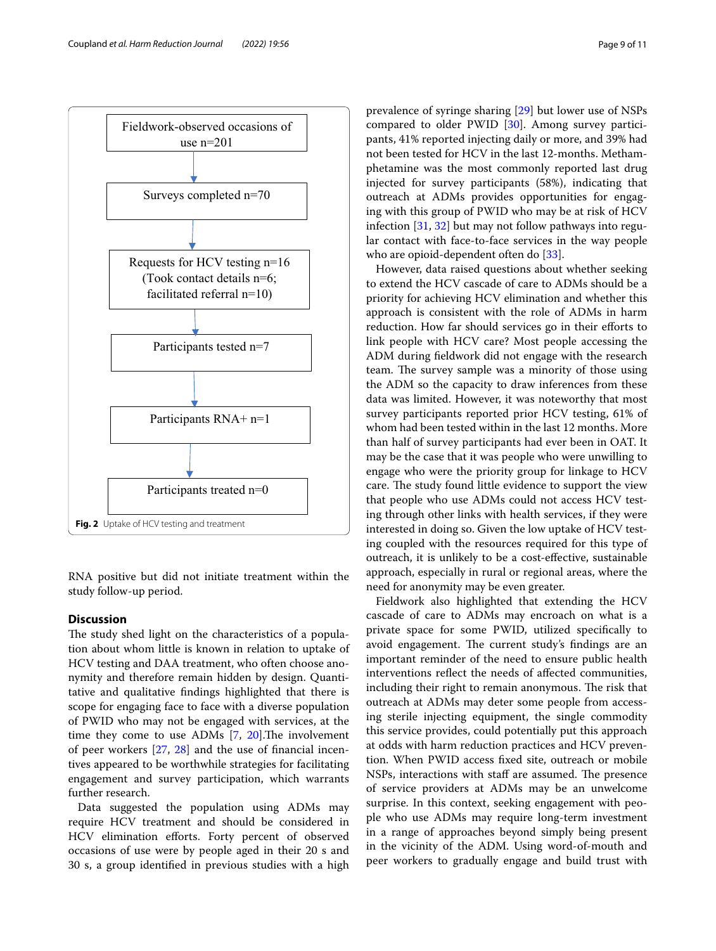

<span id="page-8-0"></span>RNA positive but did not initiate treatment within the study follow-up period.

# **Discussion**

The study shed light on the characteristics of a population about whom little is known in relation to uptake of HCV testing and DAA treatment, who often choose anonymity and therefore remain hidden by design. Quantitative and qualitative fndings highlighted that there is scope for engaging face to face with a diverse population of PWID who may not be engaged with services, at the time they come to use ADMs  $[7, 20]$  $[7, 20]$  $[7, 20]$  $[7, 20]$  $[7, 20]$ . The involvement of peer workers [[27](#page-10-23), [28\]](#page-10-24) and the use of fnancial incentives appeared to be worthwhile strategies for facilitating engagement and survey participation, which warrants further research.

Data suggested the population using ADMs may require HCV treatment and should be considered in HCV elimination efforts. Forty percent of observed occasions of use were by people aged in their 20 s and 30 s, a group identifed in previous studies with a high prevalence of syringe sharing [\[29\]](#page-10-25) but lower use of NSPs compared to older PWID [\[30](#page-10-26)]. Among survey participants, 41% reported injecting daily or more, and 39% had not been tested for HCV in the last 12-months. Methamphetamine was the most commonly reported last drug injected for survey participants (58%), indicating that outreach at ADMs provides opportunities for engaging with this group of PWID who may be at risk of HCV infection [\[31,](#page-10-27) [32](#page-10-28)] but may not follow pathways into regular contact with face-to-face services in the way people who are opioid-dependent often do [\[33](#page-10-29)].

However, data raised questions about whether seeking to extend the HCV cascade of care to ADMs should be a priority for achieving HCV elimination and whether this approach is consistent with the role of ADMs in harm reduction. How far should services go in their efforts to link people with HCV care? Most people accessing the ADM during feldwork did not engage with the research team. The survey sample was a minority of those using the ADM so the capacity to draw inferences from these data was limited. However, it was noteworthy that most survey participants reported prior HCV testing, 61% of whom had been tested within in the last 12 months. More than half of survey participants had ever been in OAT. It may be the case that it was people who were unwilling to engage who were the priority group for linkage to HCV care. The study found little evidence to support the view that people who use ADMs could not access HCV testing through other links with health services, if they were interested in doing so. Given the low uptake of HCV testing coupled with the resources required for this type of outreach, it is unlikely to be a cost-efective, sustainable approach, especially in rural or regional areas, where the need for anonymity may be even greater.

Fieldwork also highlighted that extending the HCV cascade of care to ADMs may encroach on what is a private space for some PWID, utilized specifcally to avoid engagement. The current study's findings are an important reminder of the need to ensure public health interventions refect the needs of afected communities, including their right to remain anonymous. The risk that outreach at ADMs may deter some people from accessing sterile injecting equipment, the single commodity this service provides, could potentially put this approach at odds with harm reduction practices and HCV prevention. When PWID access fxed site, outreach or mobile NSPs, interactions with staff are assumed. The presence of service providers at ADMs may be an unwelcome surprise. In this context, seeking engagement with people who use ADMs may require long-term investment in a range of approaches beyond simply being present in the vicinity of the ADM. Using word-of-mouth and peer workers to gradually engage and build trust with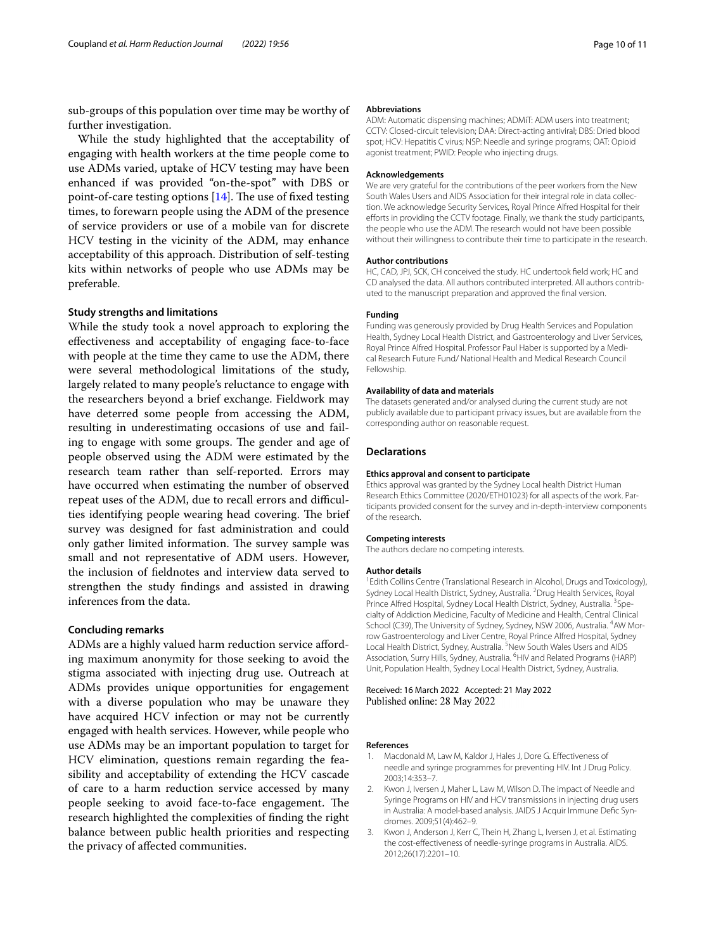sub-groups of this population over time may be worthy of further investigation.

While the study highlighted that the acceptability of engaging with health workers at the time people come to use ADMs varied, uptake of HCV testing may have been enhanced if was provided "on-the-spot" with DBS or point-of-care testing options  $[14]$  $[14]$ . The use of fixed testing times, to forewarn people using the ADM of the presence of service providers or use of a mobile van for discrete HCV testing in the vicinity of the ADM, may enhance acceptability of this approach. Distribution of self-testing kits within networks of people who use ADMs may be preferable.

#### **Study strengths and limitations**

While the study took a novel approach to exploring the efectiveness and acceptability of engaging face-to-face with people at the time they came to use the ADM, there were several methodological limitations of the study, largely related to many people's reluctance to engage with the researchers beyond a brief exchange. Fieldwork may have deterred some people from accessing the ADM, resulting in underestimating occasions of use and failing to engage with some groups. The gender and age of people observed using the ADM were estimated by the research team rather than self-reported. Errors may have occurred when estimating the number of observed repeat uses of the ADM, due to recall errors and difficulties identifying people wearing head covering. The brief survey was designed for fast administration and could only gather limited information. The survey sample was small and not representative of ADM users. However, the inclusion of feldnotes and interview data served to strengthen the study fndings and assisted in drawing inferences from the data.

#### **Concluding remarks**

ADMs are a highly valued harm reduction service affording maximum anonymity for those seeking to avoid the stigma associated with injecting drug use. Outreach at ADMs provides unique opportunities for engagement with a diverse population who may be unaware they have acquired HCV infection or may not be currently engaged with health services. However, while people who use ADMs may be an important population to target for HCV elimination, questions remain regarding the feasibility and acceptability of extending the HCV cascade of care to a harm reduction service accessed by many people seeking to avoid face-to-face engagement. The research highlighted the complexities of fnding the right balance between public health priorities and respecting the privacy of afected communities.

#### **Abbreviations**

ADM: Automatic dispensing machines; ADMiT: ADM users into treatment; CCTV: Closed-circuit television; DAA: Direct-acting antiviral; DBS: Dried blood spot; HCV: Hepatitis C virus; NSP: Needle and syringe programs; OAT: Opioid agonist treatment; PWID: People who injecting drugs.

#### **Acknowledgements**

We are very grateful for the contributions of the peer workers from the New South Wales Users and AIDS Association for their integral role in data collection. We acknowledge Security Services, Royal Prince Alfred Hospital for their efforts in providing the CCTV footage. Finally, we thank the study participants, the people who use the ADM. The research would not have been possible without their willingness to contribute their time to participate in the research.

#### **Author contributions**

HC, CAD, JPJ, SCK, CH conceived the study. HC undertook feld work; HC and CD analysed the data. All authors contributed interpreted. All authors contributed to the manuscript preparation and approved the fnal version.

#### **Funding**

Funding was generously provided by Drug Health Services and Population Health, Sydney Local Health District, and Gastroenterology and Liver Services, Royal Prince Alfred Hospital. Professor Paul Haber is supported by a Medical Research Future Fund/ National Health and Medical Research Council Fellowship.

## **Availability of data and materials**

The datasets generated and/or analysed during the current study are not publicly available due to participant privacy issues, but are available from the corresponding author on reasonable request.

#### **Declarations**

#### **Ethics approval and consent to participate**

Ethics approval was granted by the Sydney Local health District Human Research Ethics Committee (2020/ETH01023) for all aspects of the work. Par‑ ticipants provided consent for the survey and in-depth-interview components of the research.

#### **Competing interests**

The authors declare no competing interests.

#### **Author details**

<sup>1</sup> Edith Collins Centre (Translational Research in Alcohol, Drugs and Toxicology), Sydney Local Health District, Sydney, Australia. <sup>2</sup> Drug Health Services, Royal Prince Alfred Hospital, Sydney Local Health District, Sydney, Australia. <sup>3</sup>Specialty of Addiction Medicine, Faculty of Medicine and Health, Central Clinical School (C39), The University of Sydney, Sydney, NSW 2006, Australia. <sup>4</sup>AW Morrow Gastroenterology and Liver Centre, Royal Prince Alfred Hospital, Sydney Local Health District, Sydney, Australia. <sup>5</sup>New South Wales Users and AIDS Association, Surry Hills, Sydney, Australia. <sup>6</sup>HIV and Related Programs (HARP) Unit, Population Health, Sydney Local Health District, Sydney, Australia.

Received: 16 March 2022 Accepted: 21 May 2022 Published online: 28 May 2022

#### **References**

- <span id="page-9-0"></span>Macdonald M, Law M, Kaldor J, Hales J, Dore G. Effectiveness of needle and syringe programmes for preventing HIV. Int J Drug Policy. 2003;14:353–7.
- <span id="page-9-1"></span>Kwon J, Iversen J, Maher L, Law M, Wilson D. The impact of Needle and Syringe Programs on HIV and HCV transmissions in injecting drug users in Australia: A model-based analysis. JAIDS J Acquir Immune Defic Syndromes. 2009;51(4):462–9.
- <span id="page-9-2"></span>3. Kwon J, Anderson J, Kerr C, Thein H, Zhang L, Iversen J, et al. Estimating the cost-efectiveness of needle-syringe programs in Australia. AIDS. 2012;26(17):2201–10.